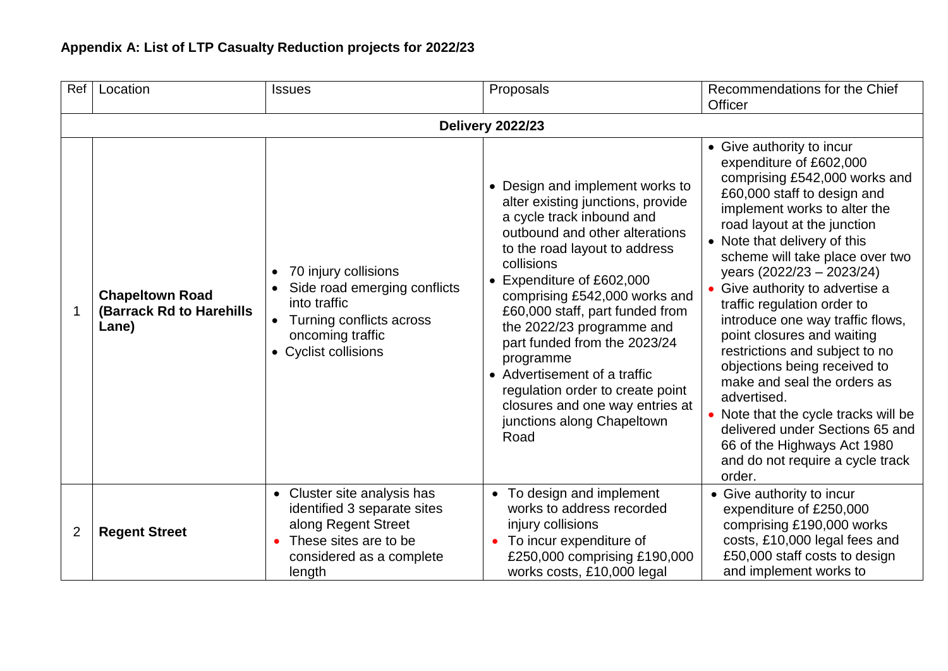| Ref            | Location                                                    | <b>Issues</b>                                                                                                                                             | Proposals                                                                                                                                                                                                                                                                                                                                                                                                                                                                                                | Recommendations for the Chief<br><b>Officer</b>                                                                                                                                                                                                                                                                                                                                                                                                                                                                                                                                                                                                                                               |  |  |  |  |  |
|----------------|-------------------------------------------------------------|-----------------------------------------------------------------------------------------------------------------------------------------------------------|----------------------------------------------------------------------------------------------------------------------------------------------------------------------------------------------------------------------------------------------------------------------------------------------------------------------------------------------------------------------------------------------------------------------------------------------------------------------------------------------------------|-----------------------------------------------------------------------------------------------------------------------------------------------------------------------------------------------------------------------------------------------------------------------------------------------------------------------------------------------------------------------------------------------------------------------------------------------------------------------------------------------------------------------------------------------------------------------------------------------------------------------------------------------------------------------------------------------|--|--|--|--|--|
|                | <b>Delivery 2022/23</b>                                     |                                                                                                                                                           |                                                                                                                                                                                                                                                                                                                                                                                                                                                                                                          |                                                                                                                                                                                                                                                                                                                                                                                                                                                                                                                                                                                                                                                                                               |  |  |  |  |  |
| 1              | <b>Chapeltown Road</b><br>(Barrack Rd to Harehills<br>Lane) | 70 injury collisions<br>$\bullet$<br>Side road emerging conflicts<br>into traffic<br>Turning conflicts across<br>oncoming traffic<br>• Cyclist collisions | • Design and implement works to<br>alter existing junctions, provide<br>a cycle track inbound and<br>outbound and other alterations<br>to the road layout to address<br>collisions<br>Expenditure of £602,000<br>comprising £542,000 works and<br>£60,000 staff, part funded from<br>the 2022/23 programme and<br>part funded from the 2023/24<br>programme<br>• Advertisement of a traffic<br>regulation order to create point<br>closures and one way entries at<br>junctions along Chapeltown<br>Road | • Give authority to incur<br>expenditure of £602,000<br>comprising £542,000 works and<br>£60,000 staff to design and<br>implement works to alter the<br>road layout at the junction<br>• Note that delivery of this<br>scheme will take place over two<br>years (2022/23 - 2023/24)<br>Give authority to advertise a<br>traffic regulation order to<br>introduce one way traffic flows,<br>point closures and waiting<br>restrictions and subject to no<br>objections being received to<br>make and seal the orders as<br>advertised.<br>• Note that the cycle tracks will be<br>delivered under Sections 65 and<br>66 of the Highways Act 1980<br>and do not require a cycle track<br>order. |  |  |  |  |  |
| $\overline{2}$ | <b>Regent Street</b>                                        | • Cluster site analysis has<br>identified 3 separate sites<br>along Regent Street<br>These sites are to be<br>considered as a complete<br>length          | To design and implement<br>$\bullet$<br>works to address recorded<br>injury collisions<br>To incur expenditure of<br>£250,000 comprising £190,000<br>works costs, £10,000 legal                                                                                                                                                                                                                                                                                                                          | • Give authority to incur<br>expenditure of £250,000<br>comprising £190,000 works<br>costs, £10,000 legal fees and<br>£50,000 staff costs to design<br>and implement works to                                                                                                                                                                                                                                                                                                                                                                                                                                                                                                                 |  |  |  |  |  |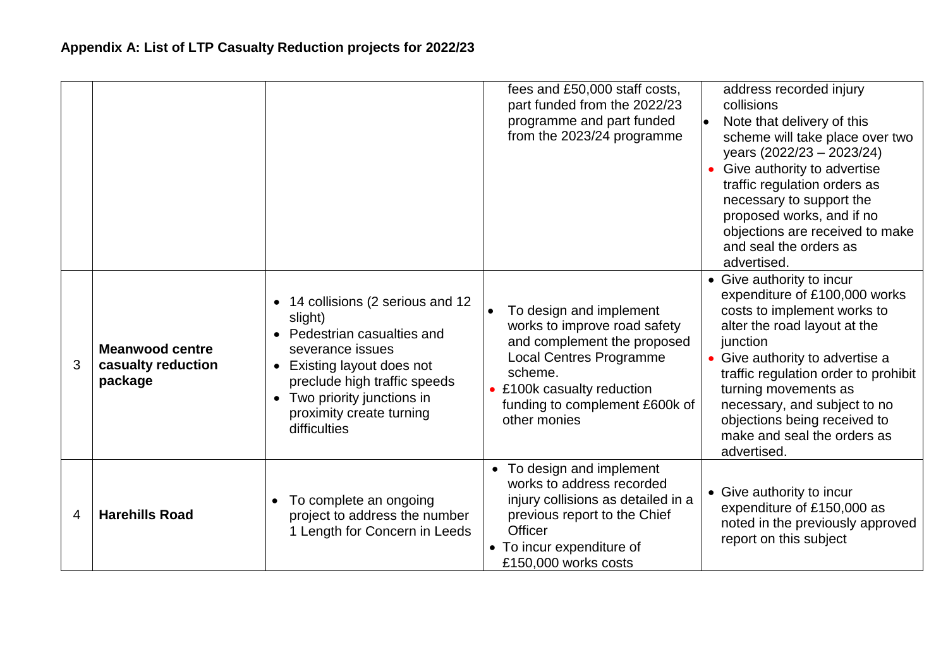|   |                                                         |                                                                                                                                                                                                                                                                                      | fees and £50,000 staff costs,<br>part funded from the 2022/23<br>programme and part funded<br>from the 2023/24 programme                                                                                          | address recorded injury<br>collisions<br>Note that delivery of this<br>scheme will take place over two<br>years (2022/23 - 2023/24)<br>Give authority to advertise<br>traffic regulation orders as<br>necessary to support the<br>proposed works, and if no<br>objections are received to make<br>and seal the orders as<br>advertised.                |
|---|---------------------------------------------------------|--------------------------------------------------------------------------------------------------------------------------------------------------------------------------------------------------------------------------------------------------------------------------------------|-------------------------------------------------------------------------------------------------------------------------------------------------------------------------------------------------------------------|--------------------------------------------------------------------------------------------------------------------------------------------------------------------------------------------------------------------------------------------------------------------------------------------------------------------------------------------------------|
| 3 | <b>Meanwood centre</b><br>casualty reduction<br>package | 14 collisions (2 serious and 12<br>$\bullet$<br>slight)<br>Pedestrian casualties and<br>$\bullet$<br>severance issues<br>Existing layout does not<br>$\bullet$<br>preclude high traffic speeds<br>Two priority junctions in<br>$\bullet$<br>proximity create turning<br>difficulties | To design and implement<br>works to improve road safety<br>and complement the proposed<br><b>Local Centres Programme</b><br>scheme.<br>£100k casualty reduction<br>funding to complement £600k of<br>other monies | • Give authority to incur<br>expenditure of £100,000 works<br>costs to implement works to<br>alter the road layout at the<br>junction<br>• Give authority to advertise a<br>traffic regulation order to prohibit<br>turning movements as<br>necessary, and subject to no<br>objections being received to<br>make and seal the orders as<br>advertised. |
| 4 | <b>Harehills Road</b>                                   | To complete an ongoing<br>$\bullet$<br>project to address the number<br>1 Length for Concern in Leeds                                                                                                                                                                                | To design and implement<br>$\bullet$<br>works to address recorded<br>injury collisions as detailed in a<br>previous report to the Chief<br><b>Officer</b><br>• To incur expenditure of<br>£150,000 works costs    | • Give authority to incur<br>expenditure of £150,000 as<br>noted in the previously approved<br>report on this subject                                                                                                                                                                                                                                  |